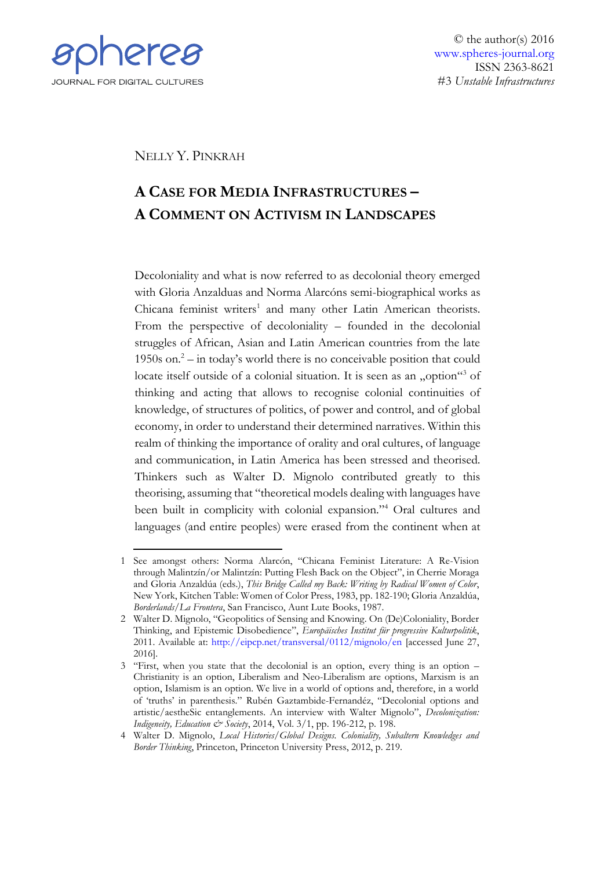

© the author(s) 2016 [www.spheres-journal.org](http://www.spheres-journal.org/) ISSN 2363-8621 #3 *Unstable Infrastructures*

NELLY Y. PINKRAH

## **A CASE FOR MEDIA INFRASTRUCTURES – A COMMENT ON ACTIVISM IN LANDSCAPES**

Decoloniality and what is now referred to as decolonial theory emerged with Gloria Anzalduas and Norma Alarcóns semi-biographical works as Chicana feminist writers<sup>1</sup> and many other Latin American theorists. From the perspective of decoloniality – founded in the decolonial struggles of African, Asian and Latin American countries from the late 1950s on. $2 -$  in today's world there is no conceivable position that could locate itself outside of a colonial situation. It is seen as an "option"<sup>3</sup> of thinking and acting that allows to recognise colonial continuities of knowledge, of structures of politics, of power and control, and of global economy, in order to understand their determined narratives. Within this realm of thinking the importance of orality and oral cultures, of language and communication, in Latin America has been stressed and theorised. Thinkers such as Walter D. Mignolo contributed greatly to this theorising, assuming that "theoretical models dealing with languages have been built in complicity with colonial expansion."<sup>4</sup> Oral cultures and languages (and entire peoples) were erased from the continent when at

<sup>&</sup>lt;u>.</u> 1 See amongst others: Norma Alarcón, "Chicana Feminist Literature: A Re-Vision through Malintzín/or Malintzín: Putting Flesh Back on the Object", in Cherrie Moraga and Gloria Anzaldúa (eds.), *This Bridge Called my Back: Writing by Radical Women of Color*, New York, Kitchen Table: Women of Color Press, 1983, pp. 182-190; Gloria Anzaldúa, *Borderlands/La Frontera*, San Francisco, Aunt Lute Books, 1987.

<sup>2</sup> Walter D. Mignolo, "Geopolitics of Sensing and Knowing. On (De)Coloniality, Border Thinking, and Epistemic Disobedience", *Europäisches Institut für progressive Kulturpolitik*, 2011. Available at:<http://eipcp.net/transversal/0112/mignolo/en> [accessed June 27, 2016].

<sup>3</sup> "First, when you state that the decolonial is an option, every thing is an option – Christianity is an option, Liberalism and Neo-Liberalism are options, Marxism is an option, Islamism is an option. We live in a world of options and, therefore, in a world of 'truths' in parenthesis." Rubén Gaztambide-Fernandéz, "Decolonial options and artistic/aestheSic entanglements. An interview with Walter Mignolo", *Decolonization: Indigeneity, Education & Society*, 2014, Vol. 3/1, pp. 196-212, p. 198.

<sup>4</sup> Walter D. Mignolo, *Local Histories/Global Designs. Coloniality, Subaltern Knowledges and Border Thinking*, Princeton, Princeton University Press, 2012, p. 219.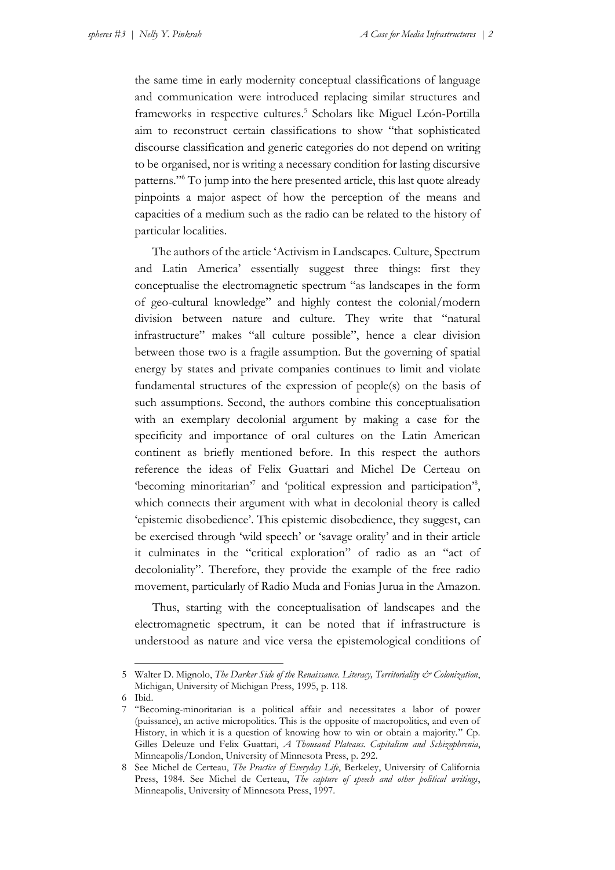the same time in early modernity conceptual classifications of language and communication were introduced replacing similar structures and frameworks in respective cultures. 5 Scholars like Miguel León-Portilla aim to reconstruct certain classifications to show "that sophisticated discourse classification and generic categories do not depend on writing to be organised, nor is writing a necessary condition for lasting discursive patterns." <sup>6</sup> To jump into the here presented article, this last quote already pinpoints a major aspect of how the perception of the means and capacities of a medium such as the radio can be related to the history of particular localities.

The authors of the article 'Activism in Landscapes. Culture, Spectrum and Latin America' essentially suggest three things: first they conceptualise the electromagnetic spectrum "as landscapes in the form of geo-cultural knowledge" and highly contest the colonial/modern division between nature and culture. They write that "natural infrastructure" makes "all culture possible", hence a clear division between those two is a fragile assumption. But the governing of spatial energy by states and private companies continues to limit and violate fundamental structures of the expression of people(s) on the basis of such assumptions. Second, the authors combine this conceptualisation with an exemplary decolonial argument by making a case for the specificity and importance of oral cultures on the Latin American continent as briefly mentioned before. In this respect the authors reference the ideas of Felix Guattari and Michel De Certeau on 'becoming minoritarian'<sup>7</sup> and 'political expression and participation'<sup>8</sup>, which connects their argument with what in decolonial theory is called 'epistemic disobedience'. This epistemic disobedience, they suggest, can be exercised through 'wild speech' or 'savage orality' and in their article it culminates in the "critical exploration" of radio as an "act of decoloniality". Therefore, they provide the example of the free radio movement, particularly of Radio Muda and Fonias Jurua in the Amazon.

Thus, starting with the conceptualisation of landscapes and the electromagnetic spectrum, it can be noted that if infrastructure is understood as nature and vice versa the epistemological conditions of

6 Ibid.

1

<sup>5</sup> Walter D. Mignolo, *The Darker Side of the Renaissance. Literacy, Territoriality & Colonization*, Michigan, University of Michigan Press, 1995, p. 118.

<sup>7</sup> "Becoming-minoritarian is a political affair and necessitates a labor of power (puissance), an active micropolitics. This is the opposite of macropolitics, and even of History, in which it is a question of knowing how to win or obtain a majority." Cp. Gilles Deleuze und Felix Guattari, *A Thousand Plateaus. Capitalism and Schizophrenia*, Minneapolis/London, University of Minnesota Press, p. 292.

<sup>8</sup> See Michel de Certeau, *The Practice of Everyday Life*, Berkeley, University of California Press, 1984. See Michel de Certeau, *The capture of speech and other political writings*, Minneapolis, University of Minnesota Press, 1997.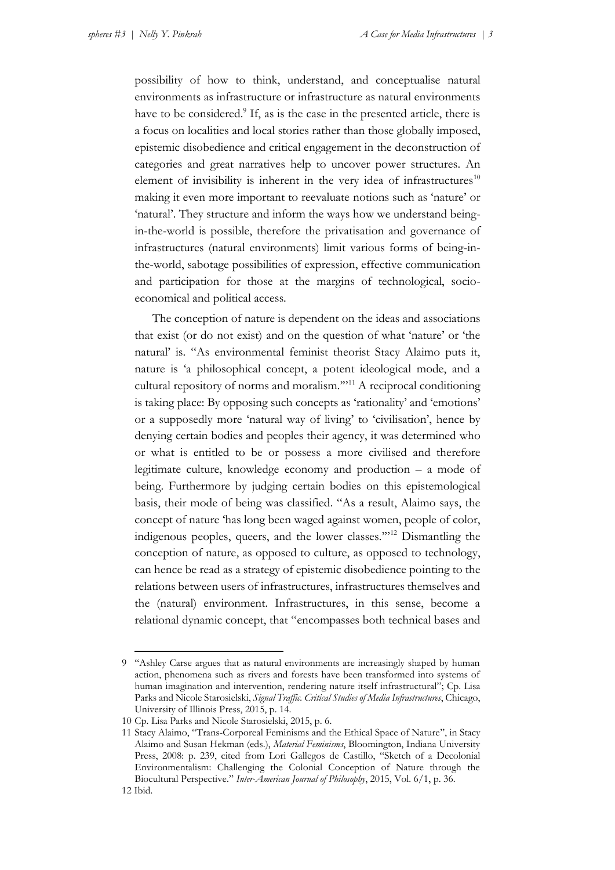possibility of how to think, understand, and conceptualise natural environments as infrastructure or infrastructure as natural environments have to be considered.<sup>9</sup> If, as is the case in the presented article, there is a focus on localities and local stories rather than those globally imposed, epistemic disobedience and critical engagement in the deconstruction of categories and great narratives help to uncover power structures. An element of invisibility is inherent in the very idea of infrastructures $10$ making it even more important to reevaluate notions such as 'nature' or 'natural'. They structure and inform the ways how we understand beingin-the-world is possible, therefore the privatisation and governance of infrastructures (natural environments) limit various forms of being-inthe-world, sabotage possibilities of expression, effective communication and participation for those at the margins of technological, socioeconomical and political access.

The conception of nature is dependent on the ideas and associations that exist (or do not exist) and on the question of what 'nature' or 'the natural' is. "As environmental feminist theorist Stacy Alaimo puts it, nature is 'a philosophical concept, a potent ideological mode, and a cultural repository of norms and moralism.'"<sup>11</sup> A reciprocal conditioning is taking place: By opposing such concepts as 'rationality' and 'emotions' or a supposedly more 'natural way of living' to 'civilisation', hence by denying certain bodies and peoples their agency, it was determined who or what is entitled to be or possess a more civilised and therefore legitimate culture, knowledge economy and production – a mode of being. Furthermore by judging certain bodies on this epistemological basis, their mode of being was classified. "As a result, Alaimo says, the concept of nature 'has long been waged against women, people of color, indigenous peoples, queers, and the lower classes.'"<sup>12</sup> Dismantling the conception of nature, as opposed to culture, as opposed to technology, can hence be read as a strategy of epistemic disobedience pointing to the relations between users of infrastructures, infrastructures themselves and the (natural) environment. Infrastructures, in this sense, become a relational dynamic concept, that "encompasses both technical bases and

<u>.</u>

<sup>9</sup> "Ashley Carse argues that as natural environments are increasingly shaped by human action, phenomena such as rivers and forests have been transformed into systems of human imagination and intervention, rendering nature itself infrastructural"; Cp. Lisa Parks and Nicole Starosielski, *Signal Traffic. Critical Studies of Media Infrastructures*, Chicago, University of Illinois Press, 2015, p. 14.

<sup>10</sup> Cp. Lisa Parks and Nicole Starosielski, 2015, p. 6.

<sup>11</sup> Stacy Alaimo, "Trans-Corporeal Feminisms and the Ethical Space of Nature", in Stacy Alaimo and Susan Hekman (eds.), *Material Feminisms*, Bloomington, Indiana University Press, 2008: p. 239, cited from Lori Gallegos de Castillo, "Sketch of a Decolonial Environmentalism: Challenging the Colonial Conception of Nature through the Biocultural Perspective." *Inter-American Journal of Philosophy*, 2015, Vol. 6/1, p. 36.

<sup>12</sup> Ibid.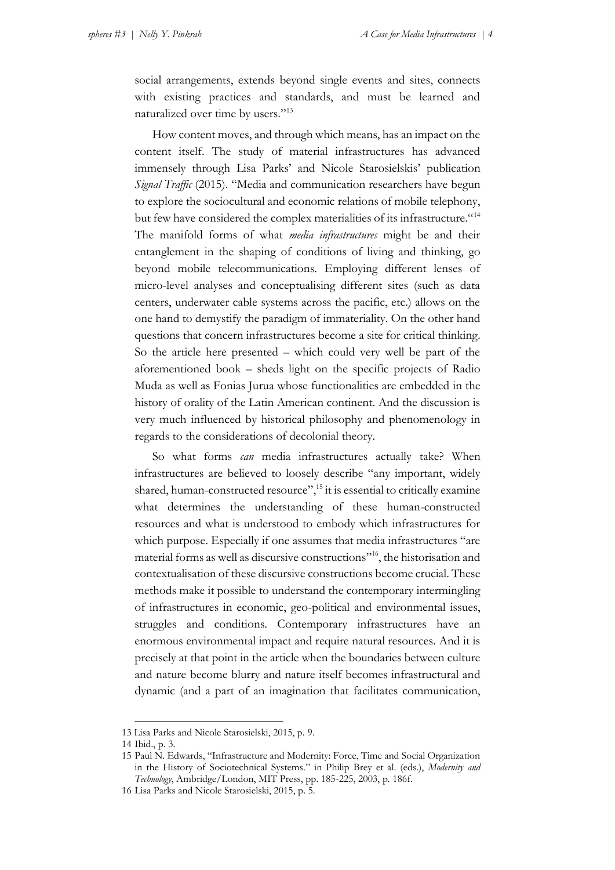social arrangements, extends beyond single events and sites, connects with existing practices and standards, and must be learned and naturalized over time by users."<sup>13</sup>

How content moves, and through which means, has an impact on the content itself. The study of material infrastructures has advanced immensely through Lisa Parks' and Nicole Starosielskis' publication *Signal Traffic* (2015). "Media and communication researchers have begun to explore the sociocultural and economic relations of mobile telephony, but few have considered the complex materialities of its infrastructure."<sup>14</sup> The manifold forms of what *media infrastructures* might be and their entanglement in the shaping of conditions of living and thinking, go beyond mobile telecommunications. Employing different lenses of micro-level analyses and conceptualising different sites (such as data centers, underwater cable systems across the pacific, etc.) allows on the one hand to demystify the paradigm of immateriality. On the other hand questions that concern infrastructures become a site for critical thinking. So the article here presented – which could very well be part of the aforementioned book – sheds light on the specific projects of Radio Muda as well as Fonias Jurua whose functionalities are embedded in the history of orality of the Latin American continent. And the discussion is very much influenced by historical philosophy and phenomenology in regards to the considerations of decolonial theory.

So what forms *can* media infrastructures actually take? When infrastructures are believed to loosely describe "any important, widely shared, human-constructed resource",<sup>15</sup> it is essential to critically examine what determines the understanding of these human-constructed resources and what is understood to embody which infrastructures for which purpose. Especially if one assumes that media infrastructures "are material forms as well as discursive constructions" 16 , the historisation and contextualisation of these discursive constructions become crucial. These methods make it possible to understand the contemporary intermingling of infrastructures in economic, geo-political and environmental issues, struggles and conditions. Contemporary infrastructures have an enormous environmental impact and require natural resources. And it is precisely at that point in the article when the boundaries between culture and nature become blurry and nature itself becomes infrastructural and dynamic (and a part of an imagination that facilitates communication,

<u>.</u>

<sup>13</sup> Lisa Parks and Nicole Starosielski, 2015, p. 9.

<sup>14</sup> Ibid., p. 3.

<sup>15</sup> Paul N. Edwards, "Infrastructure and Modernity: Force, Time and Social Organization in the History of Sociotechnical Systems." in Philip Brey et al. (eds.), *Modernity and Technology*, Ambridge/London, MIT Press, pp. 185-225, 2003, p. 186f.

<sup>16</sup> Lisa Parks and Nicole Starosielski, 2015, p. 5.